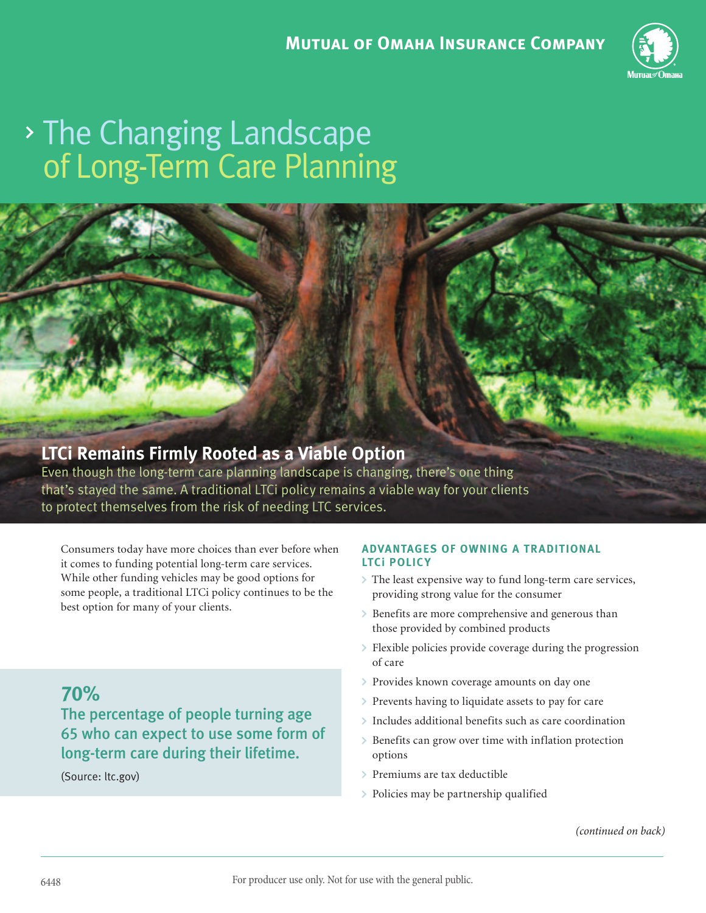

# of Long-Term Care Planning The Changing Landscape



## **LTCi Remains Firmly Rooted as a Viable Option**

Even though the long-term care planning landscape is changing, there's one thing that's stayed the same. A traditional LTCi policy remains a viable way for your clients to protect themselves from the risk of needing LTC services.

Consumers today have more choices than ever before when it comes to funding potential long-term care services. While other funding vehicles may be good options for some people, a traditional LTCi policy continues to be the best option for many of your clients.

**70%** The percentage of people turning age 65 who can expect to use some form of long-term care during their lifetime.

(Source: ltc.gov)

### **ADVANTAGES OF OWNING A TR ADITIONAL LTCi POLICY**

- The least expensive way to fund long-term care services, providing strong value for the consumer
- > Benefits are more comprehensive and generous than those provided by combined products
- Flexible policies provide coverage during the progression of care
- > Provides known coverage amounts on day one
- $\triangleright$  Prevents having to liquidate assets to pay for care
- Includes additional benefits such as care coordination
- Benefits can grow over time with inflation protection options
- Premiums are tax deductible
- Policies may be partnership qualified

(continued on back)